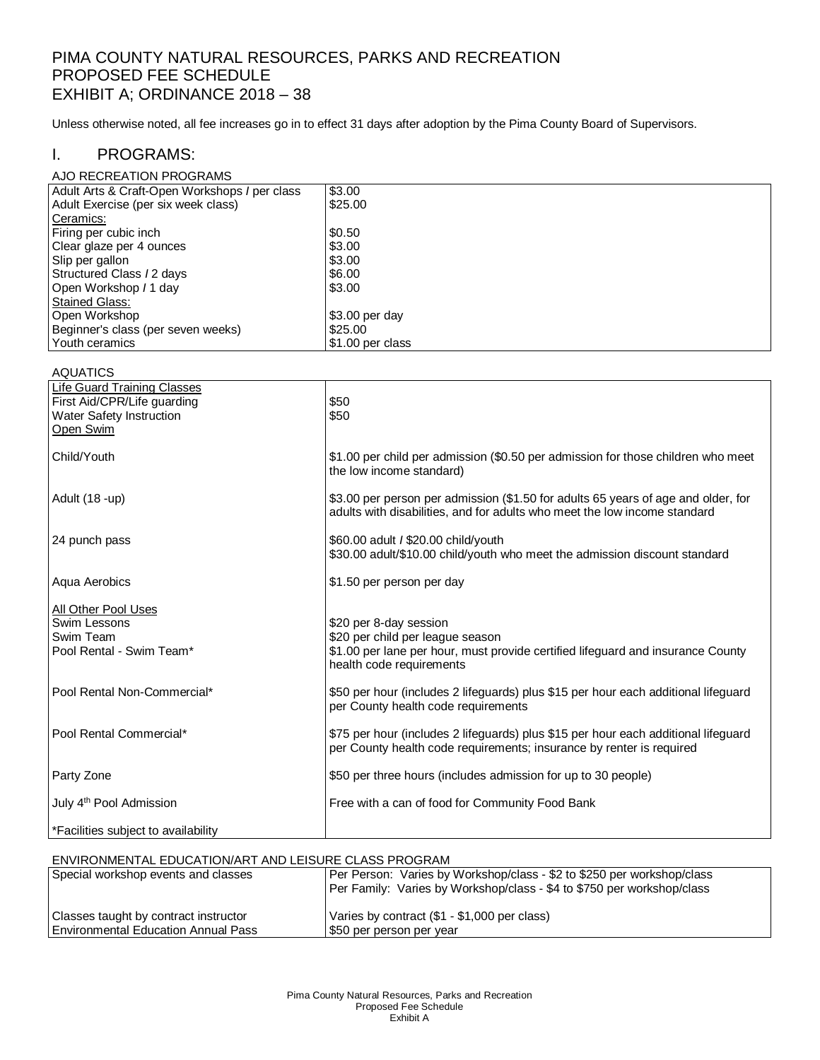## PIMA COUNTY NATURAL RESOURCES, PARKS AND RECREATION PROPOSED FEE SCHEDULE EXHIBIT A; ORDINANCE 2018 – 38

Unless otherwise noted, all fee increases go in to effect 31 days after adoption by the Pima County Board of Supervisors.

### I. PROGRAMS:

| AJO RECREATION PROGRAMS                       |                  |
|-----------------------------------------------|------------------|
| Adult Arts & Craft-Open Workshops / per class | \$3.00           |
| Adult Exercise (per six week class)           | \$25.00          |
| Ceramics:                                     |                  |
| Firing per cubic inch                         | \$0.50           |
| Clear glaze per 4 ounces                      | \$3.00           |
| Slip per gallon                               | \$3.00           |
| Structured Class / 2 days                     | \$6.00           |
| Open Workshop / 1 day                         | \$3.00           |
| Stained Glass:                                |                  |
| Open Workshop                                 | $$3.00$ per day  |
| Beginner's class (per seven weeks)            | \$25.00          |
| l Youth ceramics                              | \$1.00 per class |

| <b>AQUATICS</b>                                                                                            |                                                                                                                                                                           |
|------------------------------------------------------------------------------------------------------------|---------------------------------------------------------------------------------------------------------------------------------------------------------------------------|
| Life Guard Training Classes<br>First Aid/CPR/Life guarding<br><b>Water Safety Instruction</b><br>Open Swim | \$50<br>\$50                                                                                                                                                              |
| Child/Youth                                                                                                | \$1.00 per child per admission (\$0.50 per admission for those children who meet<br>the low income standard)                                                              |
| Adult (18 -up)                                                                                             | \$3.00 per person per admission (\$1.50 for adults 65 years of age and older, for<br>adults with disabilities, and for adults who meet the low income standard            |
| 24 punch pass                                                                                              | \$60.00 adult / \$20.00 child/youth<br>\$30.00 adult/\$10.00 child/youth who meet the admission discount standard                                                         |
| Aqua Aerobics                                                                                              | \$1.50 per person per day                                                                                                                                                 |
| All Other Pool Uses<br>Swim Lessons<br>Swim Team<br>Pool Rental - Swim Team*                               | \$20 per 8-day session<br>\$20 per child per league season<br>\$1.00 per lane per hour, must provide certified lifeguard and insurance County<br>health code requirements |
| Pool Rental Non-Commercial*                                                                                | \$50 per hour (includes 2 lifeguards) plus \$15 per hour each additional lifeguard<br>per County health code requirements                                                 |
| Pool Rental Commercial*                                                                                    | \$75 per hour (includes 2 lifeguards) plus \$15 per hour each additional lifeguard<br>per County health code requirements; insurance by renter is required                |
| Party Zone                                                                                                 | \$50 per three hours (includes admission for up to 30 people)                                                                                                             |
| July 4 <sup>th</sup> Pool Admission                                                                        | Free with a can of food for Community Food Bank                                                                                                                           |
| <sup>*</sup> Facilities subject to availability                                                            |                                                                                                                                                                           |
|                                                                                                            |                                                                                                                                                                           |

## ENVIRONMENTAL EDUCATION/ART AND LEISURE CLASS PROGRAM

| Special workshop events and classes   | Per Person: Varies by Workshop/class - \$2 to \$250 per workshop/class<br>Per Family: Varies by Workshop/class - \$4 to \$750 per workshop/class |
|---------------------------------------|--------------------------------------------------------------------------------------------------------------------------------------------------|
| Classes taught by contract instructor | Varies by contract (\$1 - \$1,000 per class)                                                                                                     |
| l Environmental Education Annual Pass | S50 per person per year                                                                                                                          |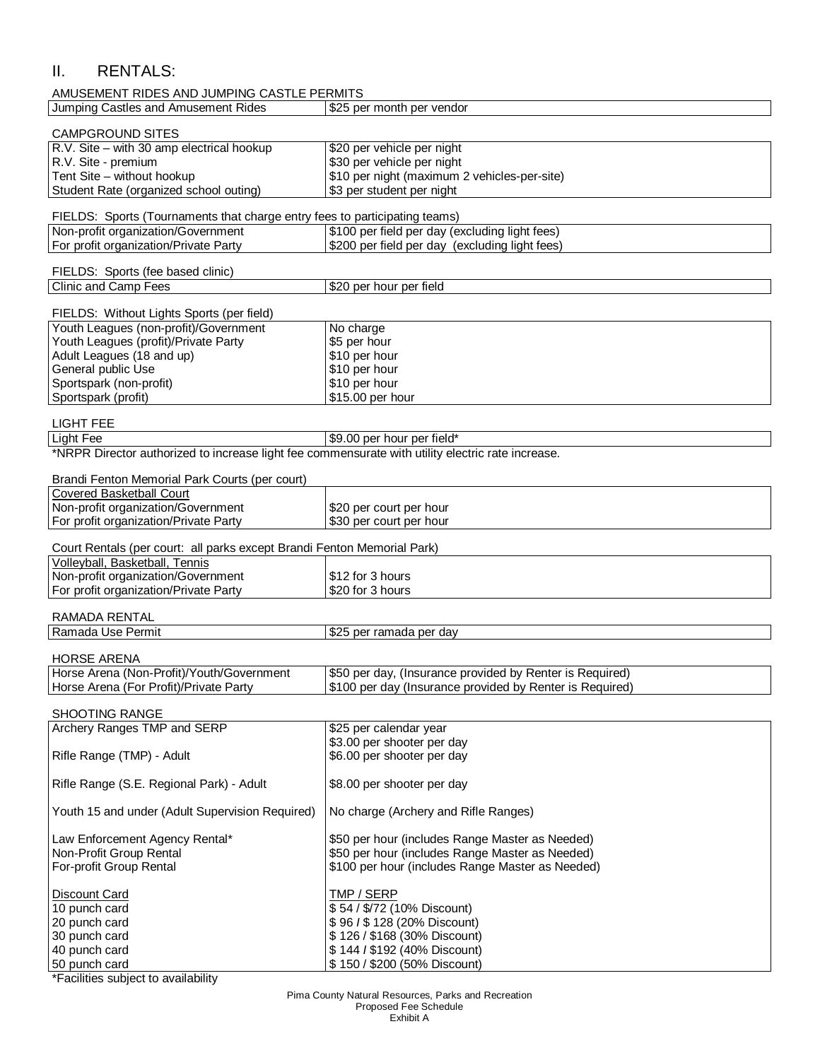## II. RENTALS:

| AMUSEMENT RIDES AND JUMPING CASTLE PERMITS                                 |                                                |  |
|----------------------------------------------------------------------------|------------------------------------------------|--|
| Jumping Castles and Amusement Rides                                        | \$25 per month per vendor                      |  |
| <b>CAMPGROUND SITES</b>                                                    |                                                |  |
| $R.V.$ Site $-$ with 30 amp electrical hookup                              | \$20 per vehicle per night                     |  |
| R.V. Site - premium                                                        | \$30 per vehicle per night                     |  |
| Tent Site - without hookup                                                 | \$10 per night (maximum 2 vehicles-per-site)   |  |
| Student Rate (organized school outing)                                     | \$3 per student per night                      |  |
| FIELDS: Sports (Tournaments that charge entry fees to participating teams) |                                                |  |
| Non-profit organization/Government                                         | \$100 per field per day (excluding light fees) |  |
| For profit organization/Private Party                                      | \$200 per field per day (excluding light fees) |  |
| FIELDS: Sports (fee based clinic)                                          |                                                |  |
| Clinic and Camp Fees                                                       | \$20 per hour per field                        |  |
| FIELDS: Without Lights Sports (per field)                                  |                                                |  |
| Youth Leagues (non-profit)/Government                                      | No charge                                      |  |
| $\cdots$ $\cdots$ $\cdots$                                                 | $\sim$ $-$                                     |  |

| Youth Leagues (profit)/Private Party | S5 per hour     |
|--------------------------------------|-----------------|
| Adult Leagues (18 and up)            | \$10 per hour   |
| General public Use                   | S10 per hour    |
| Sportspark (non-profit)              | \$10 per hour   |
| Sportspark (profit)                  | S15.00 per hour |

# LIGHT FEE<br>Light Fee

## \$9.00 per hour per field\*

|  | *NRPR Director authorized to increase light fee commensurate with utility electric rate increase. |
|--|---------------------------------------------------------------------------------------------------|
|--|---------------------------------------------------------------------------------------------------|

| Brandi Fenton Memorial Park Courts (per court)                          |                         |
|-------------------------------------------------------------------------|-------------------------|
| Covered Basketball Court                                                |                         |
| Non-profit organization/Government                                      | S20 per court per hour  |
| For profit organization/Private Party                                   | \$30 per court per hour |
|                                                                         |                         |
| Court Rentals (per court: all parks except Brandi Fenton Memorial Park) |                         |

| Volleyball, Basketball, Tennis        |                  |  |
|---------------------------------------|------------------|--|
| Non-profit organization/Government    | \$12 for 3 hours |  |
| For profit organization/Private Party | \$20 for 3 hours |  |
|                                       |                  |  |

#### RAMADA RENTAL

| Ramada Use Permit  | \$25<br><sup>.</sup> ramada per dav<br>per |
|--------------------|--------------------------------------------|
| <b>HORSE ARENA</b> |                                            |

| Horse Arena (Non-Profit)/Youth/Government | \$50 per day, (Insurance provided by Renter is Required) |
|-------------------------------------------|----------------------------------------------------------|
| Horse Arena (For Profit)/Private Party    | S100 per day (Insurance provided by Renter is Required)  |

#### SHOOTING RANGE

| Archery Ranges TMP and SERP                     | \$25 per calendar year                           |
|-------------------------------------------------|--------------------------------------------------|
|                                                 | \$3.00 per shooter per day                       |
| Rifle Range (TMP) - Adult                       | \$6.00 per shooter per day                       |
|                                                 |                                                  |
| Rifle Range (S.E. Regional Park) - Adult        | \$8.00 per shooter per day                       |
| Youth 15 and under (Adult Supervision Required) | No charge (Archery and Rifle Ranges)             |
|                                                 |                                                  |
| Law Enforcement Agency Rental*                  | \$50 per hour (includes Range Master as Needed)  |
| Non-Profit Group Rental                         | \$50 per hour (includes Range Master as Needed)  |
| For-profit Group Rental                         | \$100 per hour (includes Range Master as Needed) |
|                                                 |                                                  |
| <b>Discount Card</b>                            | TMP / SERP                                       |
| 10 punch card                                   | \$54 / \$/72 (10% Discount)                      |
| 20 punch card                                   | \$96 / \$128 (20% Discount)                      |
| 30 punch card                                   | \$126/\$168 (30% Discount)                       |
| 40 punch card                                   | \$144 / \$192 (40% Discount)                     |
| 50 punch card                                   | \$150 / \$200 (50% Discount)                     |

\*Facilities subject to availability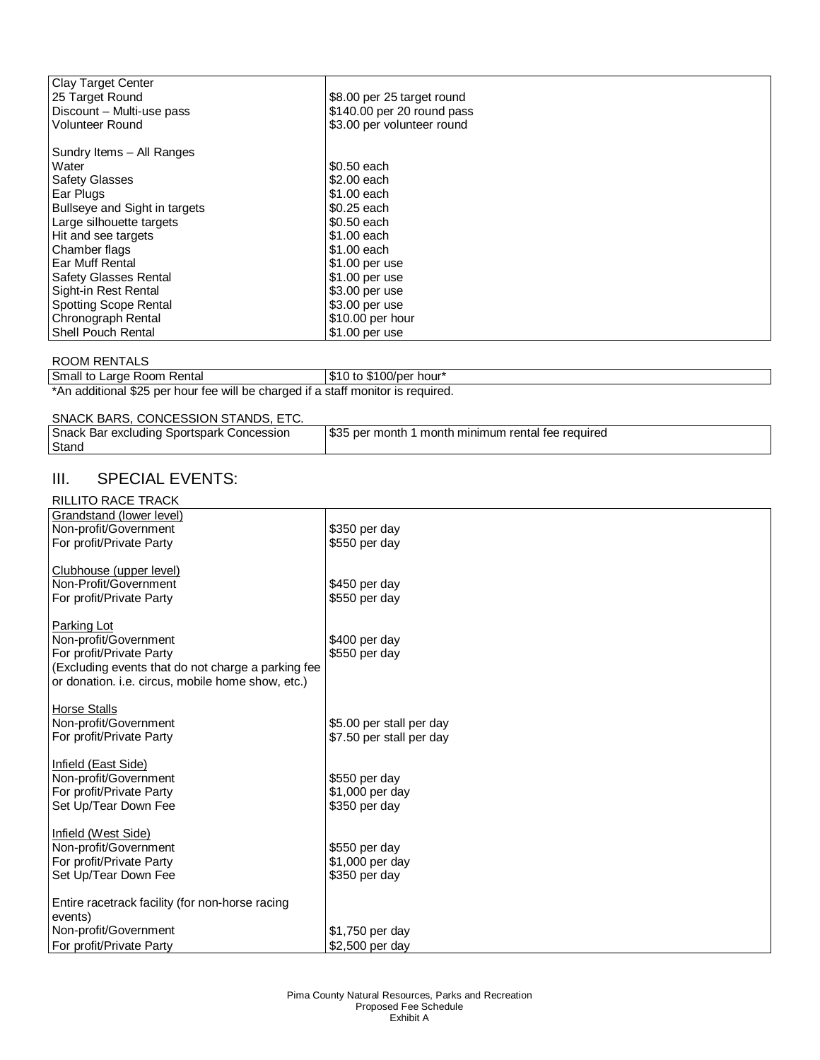| <b>Clay Target Center</b>     |                            |
|-------------------------------|----------------------------|
| 25 Target Round               | \$8.00 per 25 target round |
| Discount - Multi-use pass     | \$140.00 per 20 round pass |
| <b>Volunteer Round</b>        | \$3.00 per volunteer round |
|                               |                            |
| Sundry Items - All Ranges     |                            |
| Water                         | \$0.50 each                |
| <b>Safety Glasses</b>         | \$2,00 each                |
| Ear Plugs                     | \$1,00 each                |
| Bullseye and Sight in targets | \$0.25 each                |
| Large silhouette targets      | \$0.50 each                |
| Hit and see targets           | \$1.00 each                |
| Chamber flags                 | \$1,00 each                |
| Ear Muff Rental               | $$1.00$ per use            |
| <b>Safety Glasses Rental</b>  | $$1.00$ per use            |
| Sight-in Rest Rental          | \$3.00 per use             |
| <b>Spotting Scope Rental</b>  | \$3.00 per use             |
| Chronograph Rental            | \$10.00 per hour           |
| Shell Pouch Rental            | \$1.00 per use             |

#### ROOM RENTALS

Small to Large Room Rental **\$10 to \$100/per hour\*** \*An additional \$25 per hour fee will be charged if a staff monitor is required.

#### SNACK BARS, CONCESSION STANDS, ETC.

| Stand |  |
|-------|--|

## III. SPECIAL EVENTS:

#### RILLITO RACE TRACK

| Grandstand (lower level)                           |                          |
|----------------------------------------------------|--------------------------|
| Non-profit/Government                              | \$350 per day            |
| For profit/Private Party                           | \$550 per day            |
|                                                    |                          |
| Clubhouse (upper level)                            |                          |
| Non-Profit/Government                              |                          |
|                                                    | \$450 per day            |
| For profit/Private Party                           | \$550 per day            |
|                                                    |                          |
| Parking Lot                                        |                          |
| Non-profit/Government                              | \$400 per day            |
| For profit/Private Party                           | \$550 per day            |
| (Excluding events that do not charge a parking fee |                          |
| or donation. i.e. circus, mobile home show, etc.)  |                          |
|                                                    |                          |
| <b>Horse Stalls</b>                                |                          |
| Non-profit/Government                              | \$5.00 per stall per day |
| For profit/Private Party                           | \$7.50 per stall per day |
|                                                    |                          |
| Infield (East Side)                                |                          |
| Non-profit/Government                              | \$550 per day            |
| For profit/Private Party                           | \$1,000 per day          |
| Set Up/Tear Down Fee                               | \$350 per day            |
|                                                    |                          |
|                                                    |                          |
| Infield (West Side)                                |                          |
| Non-profit/Government                              | \$550 per day            |
| For profit/Private Party                           | \$1,000 per day          |
| Set Up/Tear Down Fee                               | \$350 per day            |
|                                                    |                          |
| Entire racetrack facility (for non-horse racing    |                          |
| events)                                            |                          |
| Non-profit/Government                              | \$1,750 per day          |
| For profit/Private Party                           | \$2,500 per day          |